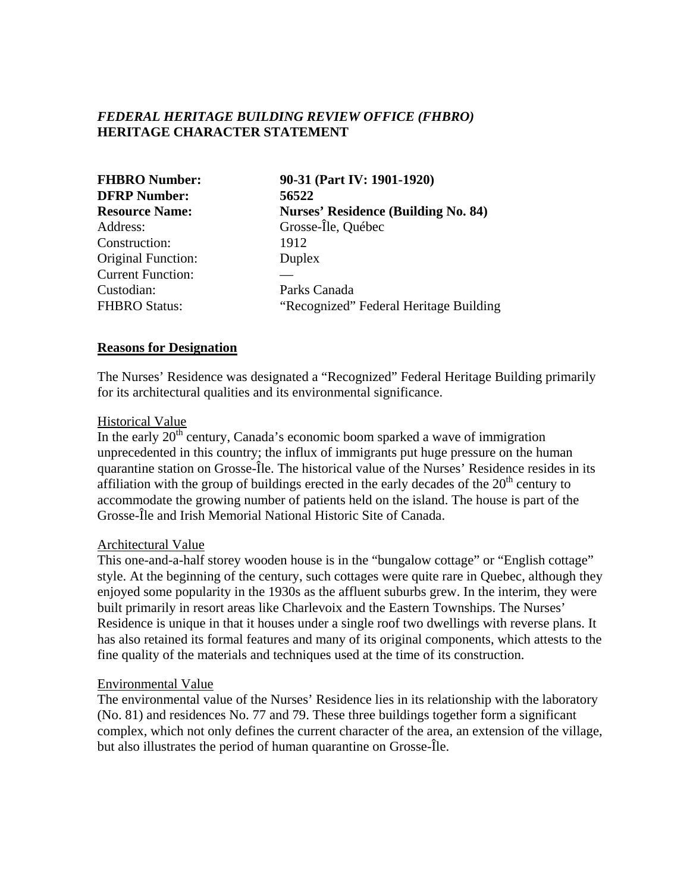# *FEDERAL HERITAGE BUILDING REVIEW OFFICE (FHBRO)* **HERITAGE CHARACTER STATEMENT**

| <b>FHBRO Number:</b><br><b>DFRP Number:</b><br><b>Resource Name:</b> | 90-31 (Part IV: 1901-1920)<br>56522<br><b>Nurses' Residence (Building No. 84)</b> |               |                    |
|----------------------------------------------------------------------|-----------------------------------------------------------------------------------|---------------|--------------------|
|                                                                      |                                                                                   | Address:      | Grosse-Île, Québec |
|                                                                      |                                                                                   | Construction: | 1912               |
| <b>Original Function:</b>                                            | Duplex                                                                            |               |                    |
| <b>Current Function:</b>                                             |                                                                                   |               |                    |
| Custodian:                                                           | Parks Canada                                                                      |               |                    |
| <b>FHBRO Status:</b>                                                 | "Recognized" Federal Heritage Building                                            |               |                    |

#### **Reasons for Designation**

The Nurses' Residence was designated a "Recognized" Federal Heritage Building primarily for its architectural qualities and its environmental significance.

#### Historical Value

In the early  $20<sup>th</sup>$  century, Canada's economic boom sparked a wave of immigration unprecedented in this country; the influx of immigrants put huge pressure on the human quarantine station on Grosse-Île. The historical value of the Nurses' Residence resides in its affiliation with the group of buildings erected in the early decades of the  $20<sup>th</sup>$  century to accommodate the growing number of patients held on the island. The house is part of the Grosse-Île and Irish Memorial National Historic Site of Canada.

#### Architectural Value

This one-and-a-half storey wooden house is in the "bungalow cottage" or "English cottage" style. At the beginning of the century, such cottages were quite rare in Quebec, although they enjoyed some popularity in the 1930s as the affluent suburbs grew. In the interim, they were built primarily in resort areas like Charlevoix and the Eastern Townships. The Nurses' Residence is unique in that it houses under a single roof two dwellings with reverse plans. It has also retained its formal features and many of its original components, which attests to the fine quality of the materials and techniques used at the time of its construction.

### Environmental Value

The environmental value of the Nurses' Residence lies in its relationship with the laboratory (No. 81) and residences No. 77 and 79. These three buildings together form a significant complex, which not only defines the current character of the area, an extension of the village, but also illustrates the period of human quarantine on Grosse-Île.